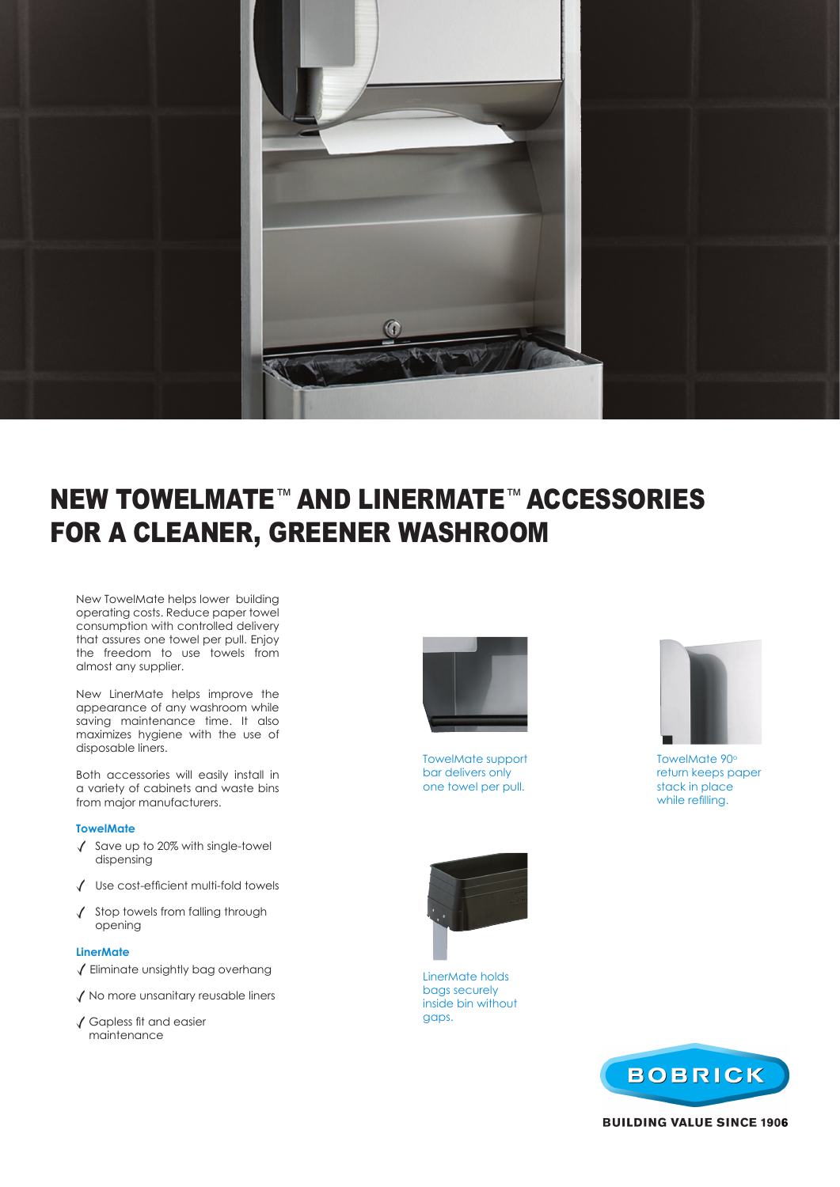

# NEW TOWELMATE™ AND LINERMATE™ ACCESSORIES FOR A CLEANER, GREENER WASHROOM

New TowelMate helps lower building operating costs. Reduce paper towel consumption with controlled delivery that assures one towel per pull. Enjoy the freedom to use towels from almost any supplier.

New LinerMate helps improve the appearance of any washroom while saving maintenance time. It also maximizes hygiene with the use of disposable liners.

Both accessories will easily install in a variety of cabinets and waste bins from major manufacturers.

#### **TowelMate**

- $\sqrt{\phantom{a}}$  Save up to 20% with single-towel dispensing
- Use cost-efficient multi-fold towels
- $\sqrt{\phantom{a}}$  Stop towels from falling through opening

#### **LinerMate**

- $\sqrt{\frac{1}{2}}$  Eliminate unsightly bag overhang
- $\sqrt{}$  No more unsanitary reusable liners
- Gapless fit and easier maintenance



TowelMate support bar delivers only one towel per pull.





TowelMate 90° return keeps paper stack in place while refilling.



LinerMate holds bags securely inside bin without gaps.



**BUILDING VALUE SINCE 1906**